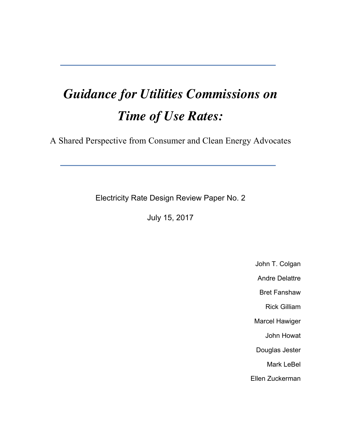# *Guidance for Utilities Commissions on Time of Use Rates:*

A Shared Perspective from Consumer and Clean Energy Advocates

Electricity Rate Design Review Paper No. 2

July 15, 2017

John T. Colgan

Andre Delattre

Bret Fanshaw Rick Gilliam

Marcel Hawiger

John Howat

Douglas Jester

Mark LeBel

Ellen Zuckerman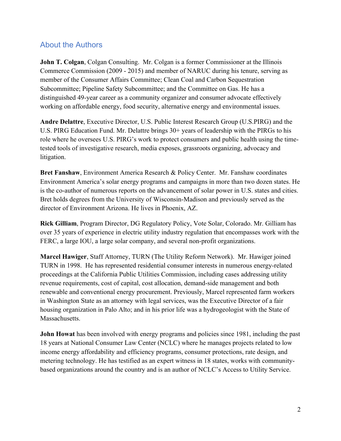## About the Authors

**John T. Colgan, Colgan Consulting. Mr. Colgan is a former Commissioner at the Illinois** Commerce Commission (2009 - 2015) and member of NARUC during his tenure, serving as member of the Consumer Affairs Committee; Clean Coal and Carbon Sequestration Subcommittee; Pipeline Safety Subcommittee; and the Committee on Gas. He has a distinguished 49-year career as a community organizer and consumer advocate effectively working on affordable energy, food security, alternative energy and environmental issues.

**Andre Delattre**, Executive Director, U.S. Public Interest Research Group (U.S.PIRG) and the U.S. PIRG Education Fund. Mr. Delattre brings 30+ years of leadership with the PIRGs to his role where he oversees U.S. PIRG's work to protect consumers and public health using the timetested tools of investigative research, media exposes, grassroots organizing, advocacy and litigation.

**Bret Fanshaw**, Environment America Research & Policy Center. Mr. Fanshaw coordinates Environment America's solar energy programs and campaigns in more than two dozen states. He is the co-author of numerous reports on the advancement of solar power in U.S. states and cities. Bret holds degrees from the University of Wisconsin-Madison and previously served as the director of Environment Arizona. He lives in Phoenix, AZ.

**Rick Gilliam**, Program Director, DG Regulatory Policy, Vote Solar, Colorado. Mr. Gilliam has over 35 years of experience in electric utility industry regulation that encompasses work with the FERC, a large IOU, a large solar company, and several non-profit organizations.

**Marcel Hawiger**, Staff Attorney, TURN (The Utility Reform Network). Mr. Hawiger joined TURN in 1998. He has represented residential consumer interests in numerous energy-related proceedings at the California Public Utilities Commission, including cases addressing utility revenue requirements, cost of capital, cost allocation, demand-side management and both renewable and conventional energy procurement. Previously, Marcel represented farm workers in Washington State as an attorney with legal services, was the Executive Director of a fair housing organization in Palo Alto; and in his prior life was a hydrogeologist with the State of Massachusetts.

**John Howat** has been involved with energy programs and policies since 1981, including the past 18 years at National Consumer Law Center (NCLC) where he manages projects related to low income energy affordability and efficiency programs, consumer protections, rate design, and metering technology. He has testified as an expert witness in 18 states, works with communitybased organizations around the country and is an author of NCLC's Access to Utility Service.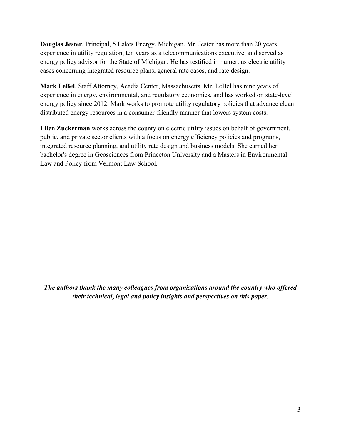**Douglas Jester**, Principal, 5 Lakes Energy, Michigan. Mr. Jester has more than 20 years experience in utility regulation, ten years as a telecommunications executive, and served as energy policy advisor for the State of Michigan. He has testified in numerous electric utility cases concerning integrated resource plans, general rate cases, and rate design.

**Mark LeBel**, Staff Attorney, Acadia Center, Massachusetts. Mr. LeBel has nine years of experience in energy, environmental, and regulatory economics, and has worked on state-level energy policy since 2012. Mark works to promote utility regulatory policies that advance clean distributed energy resources in a consumer-friendly manner that lowers system costs.

**Ellen Zuckerman** works across the county on electric utility issues on behalf of government, public, and private sector clients with a focus on energy efficiency policies and programs, integrated resource planning, and utility rate design and business models. She earned her bachelor's degree in Geosciences from Princeton University and a Masters in Environmental Law and Policy from Vermont Law School.

*The authors thank the many colleagues from organizations around the country who offered their technical, legal and policy insights and perspectives on this paper.*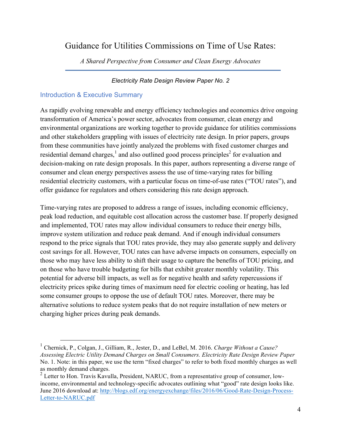# Guidance for Utilities Commissions on Time of Use Rates:

*A Shared Perspective from Consumer and Clean Energy Advocates*

#### *Electricity Rate Design Review Paper No. 2*

## Introduction & Executive Summary

As rapidly evolving renewable and energy efficiency technologies and economics drive ongoing transformation of America's power sector, advocates from consumer, clean energy and environmental organizations are working together to provide guidance for utilities commissions and other stakeholders grappling with issues of electricity rate design. In prior papers, groups from these communities have jointly analyzed the problems with fixed customer charges and residential demand charges, $\frac{1}{2}$  and also outlined good process principles<sup>2</sup> for evaluation and decision-making on rate design proposals. In this paper, authors representing a diverse range of consumer and clean energy perspectives assess the use of time-varying rates for billing residential electricity customers, with a particular focus on time-of-use rates ("TOU rates"), and offer guidance for regulators and others considering this rate design approach.

Time-varying rates are proposed to address a range of issues, including economic efficiency, peak load reduction, and equitable cost allocation across the customer base. If properly designed and implemented, TOU rates may allow individual consumers to reduce their energy bills, improve system utilization and reduce peak demand. And if enough individual consumers respond to the price signals that TOU rates provide, they may also generate supply and delivery cost savings for all. However, TOU rates can have adverse impacts on consumers, especially on those who may have less ability to shift their usage to capture the benefits of TOU pricing, and on those who have trouble budgeting for bills that exhibit greater monthly volatility. This potential for adverse bill impacts, as well as for negative health and safety repercussions if electricity prices spike during times of maximum need for electric cooling or heating, has led some consumer groups to oppose the use of default TOU rates. Moreover, there may be alternative solutions to reduce system peaks that do not require installation of new meters or charging higher prices during peak demands.

 <sup>1</sup> Chernick, P., Colgan, J., Gilliam, R., Jester, D., and LeBel, M. 2016. *Charge Without a Cause? Assessing Electric Utility Demand Charges on Small Consumers. Electricity Rate Design Review Paper*  No. 1. Note: in this paper, we use the term "fixed charges" to refer to both fixed monthly charges as well as monthly demand charges.

<sup>&</sup>lt;sup>2</sup> Letter to Hon. Travis Kavulla, President, NARUC, from a representative group of consumer, lowincome, environmental and technology-specific advocates outlining what "good" rate design looks like. June 2016 download at: http://blogs.edf.org/energyexchange/files/2016/06/Good-Rate-Design-Process-Letter-to-NARUC.pdf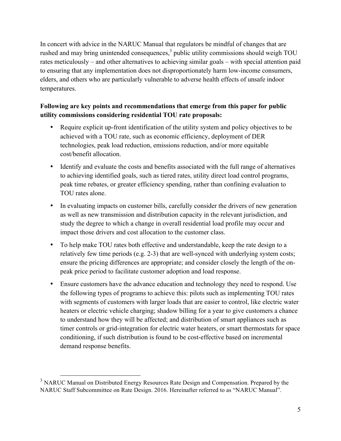In concert with advice in the NARUC Manual that regulators be mindful of changes that are rushed and may bring unintended consequences,<sup>3</sup> public utility commissions should weigh TOU rates meticulously – and other alternatives to achieving similar goals – with special attention paid to ensuring that any implementation does not disproportionately harm low-income consumers, elders, and others who are particularly vulnerable to adverse health effects of unsafe indoor temperatures.

## **Following are key points and recommendations that emerge from this paper for public utility commissions considering residential TOU rate proposals:**

- Require explicit up-front identification of the utility system and policy objectives to be achieved with a TOU rate, such as economic efficiency, deployment of DER technologies, peak load reduction, emissions reduction, and/or more equitable cost/benefit allocation.
- Identify and evaluate the costs and benefits associated with the full range of alternatives to achieving identified goals, such as tiered rates, utility direct load control programs, peak time rebates, or greater efficiency spending, rather than confining evaluation to TOU rates alone.
- In evaluating impacts on customer bills, carefully consider the drivers of new generation as well as new transmission and distribution capacity in the relevant jurisdiction, and study the degree to which a change in overall residential load profile may occur and impact those drivers and cost allocation to the customer class.
- To help make TOU rates both effective and understandable, keep the rate design to a relatively few time periods (e.g. 2-3) that are well-synced with underlying system costs; ensure the pricing differences are appropriate; and consider closely the length of the onpeak price period to facilitate customer adoption and load response.
- Ensure customers have the advance education and technology they need to respond. Use the following types of programs to achieve this: pilots such as implementing TOU rates with segments of customers with larger loads that are easier to control, like electric water heaters or electric vehicle charging; shadow billing for a year to give customers a chance to understand how they will be affected; and distribution of smart appliances such as timer controls or grid-integration for electric water heaters, or smart thermostats for space conditioning, if such distribution is found to be cost-effective based on incremental demand response benefits.

<sup>&</sup>lt;sup>3</sup> NARUC Manual on Distributed Energy Resources Rate Design and Compensation. Prepared by the NARUC Staff Subcommittee on Rate Design. 2016. Hereinafter referred to as "NARUC Manual".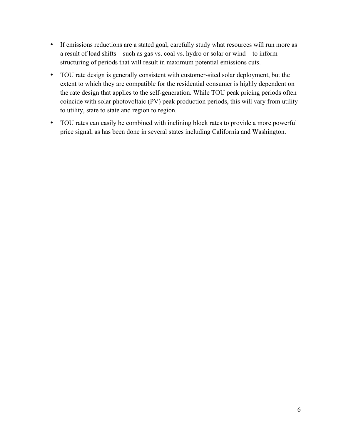- If emissions reductions are a stated goal, carefully study what resources will run more as a result of load shifts – such as gas vs. coal vs. hydro or solar or wind – to inform structuring of periods that will result in maximum potential emissions cuts.
- TOU rate design is generally consistent with customer-sited solar deployment, but the extent to which they are compatible for the residential consumer is highly dependent on the rate design that applies to the self-generation. While TOU peak pricing periods often coincide with solar photovoltaic (PV) peak production periods, this will vary from utility to utility, state to state and region to region.
- TOU rates can easily be combined with inclining block rates to provide a more powerful price signal, as has been done in several states including California and Washington.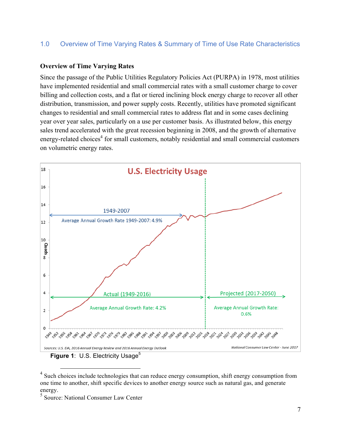#### 1.0 Overview of Time Varying Rates & Summary of Time of Use Rate Characteristics

#### **Overview of Time Varying Rates**

Since the passage of the Public Utilities Regulatory Policies Act (PURPA) in 1978, most utilities have implemented residential and small commercial rates with a small customer charge to cover billing and collection costs, and a flat or tiered inclining block energy charge to recover all other distribution, transmission, and power supply costs. Recently, utilities have promoted significant changes to residential and small commercial rates to address flat and in some cases declining year over year sales, particularly on a use per customer basis. As illustrated below, this energy sales trend accelerated with the great recession beginning in 2008, and the growth of alternative energy-related choices<sup>4</sup> for small customers, notably residential and small commercial customers on volumetric energy rates.



<sup>&</sup>lt;sup>4</sup> Such choices include technologies that can reduce energy consumption, shift energy consumption from one time to another, shift specific devices to another energy source such as natural gas, and generate energy.

<sup>5</sup> Source: National Consumer Law Center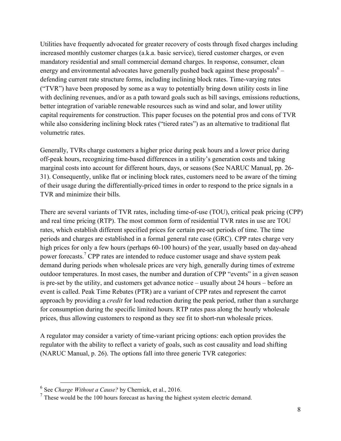Utilities have frequently advocated for greater recovery of costs through fixed charges including increased monthly customer charges (a.k.a. basic service), tiered customer charges, or even mandatory residential and small commercial demand charges. In response, consumer, clean energy and environmental advocates have generally pushed back against these proposals<sup>6</sup> – defending current rate structure forms, including inclining block rates. Time-varying rates ("TVR") have been proposed by some as a way to potentially bring down utility costs in line with declining revenues, and/or as a path toward goals such as bill savings, emissions reductions, better integration of variable renewable resources such as wind and solar, and lower utility capital requirements for construction. This paper focuses on the potential pros and cons of TVR while also considering inclining block rates ("tiered rates") as an alternative to traditional flat volumetric rates.

Generally, TVRs charge customers a higher price during peak hours and a lower price during off-peak hours, recognizing time-based differences in a utility's generation costs and taking marginal costs into account for different hours, days, or seasons (See NARUC Manual, pp. 26- 31). Consequently, unlike flat or inclining block rates, customers need to be aware of the timing of their usage during the differentially-priced times in order to respond to the price signals in a TVR and minimize their bills.

There are several variants of TVR rates, including time-of-use (TOU), critical peak pricing (CPP) and real time pricing (RTP). The most common form of residential TVR rates in use are TOU rates, which establish different specified prices for certain pre-set periods of time. The time periods and charges are established in a formal general rate case (GRC). CPP rates charge very high prices for only a few hours (perhaps 60-100 hours) of the year, usually based on day-ahead power forecasts.<sup>7</sup> CPP rates are intended to reduce customer usage and shave system peak demand during periods when wholesale prices are very high, generally during times of extreme outdoor temperatures. In most cases, the number and duration of CPP "events" in a given season is pre-set by the utility, and customers get advance notice – usually about 24 hours – before an event is called. Peak Time Rebates (PTR) are a variant of CPP rates and represent the carrot approach by providing a *credit* for load reduction during the peak period, rather than a surcharge for consumption during the specific limited hours. RTP rates pass along the hourly wholesale prices, thus allowing customers to respond as they see fit to short-run wholesale prices.

A regulator may consider a variety of time-variant pricing options: each option provides the regulator with the ability to reflect a variety of goals, such as cost causality and load shifting (NARUC Manual, p. 26). The options fall into three generic TVR categories:

 <sup>6</sup> See *Charge Without a Cause?* by Chernick, et al., 2016.

<sup>7</sup> These would be the 100 hours forecast as having the highest system electric demand.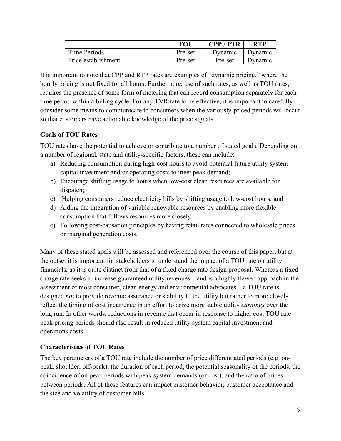|                     | TOU     | CPP/PTR | <b>RTP</b> |
|---------------------|---------|---------|------------|
| Time Periods        | Pre-set | Dynamic | Dynamic    |
| Price establishment | Pre-set | Pre-set | Dynamic    |

It is important to note that CPP and RTP rates are examples of "dynamic pricing," where the hourly pricing is not fixed for all hours. Furthermore, use of such rates, as well as TOU rates, requires the presence of some form of metering that can record consumption separately for each time period within a billing cycle. For any TVR rate to be effective, it is important to carefully consider some means to communicate to consumers when the variously-priced periods will occur so that customers have actionable knowledge of the price signals.

#### **Goals of TOU Rates**

TOU rates have the potential to achieve or contribute to a number of stated goals. Depending on a number of regional, state and utility-specific factors, these can include:

- a) Reducing consumption during high-cost hours to avoid potential future utility system capital investment and/or operating costs to meet peak demand;
- b) Encourage shifting usage to hours when low-cost clean resources are available for dispatch;
- c) Helping consumers reduce electricity bills by shifting usage to low-cost hours; and
- d) Aiding the integration of variable renewable resources by enabling more flexible consumption that follows resources more closely.
- e) Following cost-causation principles by having retail rates connected to wholesale prices or marginal generation costs.

Many of these stated goals will be assessed and referenced over the course of this paper, but at the outset it is important for stakeholders to understand the impact of a TOU rate on utility financials, as it is quite distinct from that of a fixed charge rate design proposal. Whereas a fixed charge rate seeks to increase guaranteed utility revenues – and is a highly flawed approach in the assessment of most consumer, clean energy and environmental advocates – a TOU rate is designed *not* to provide revenue assurance or stability to the utility but rather to more closely reflect the timing of cost incurrence in an effort to drive more stable utility *earnings* over the long run. In other words, reductions in revenue that occur in response to higher cost TOU rate peak pricing periods should also result in reduced utility system capital investment and operations costs.

#### **Characteristics of TOU Rates**

The key parameters of a TOU rate include the number of price differentiated periods (e.g. onpeak, shoulder, off-peak), the duration of each period, the potential seasonality of the periods, the coincidence of on-peak periods with peak system demands (or cost), and the ratio of prices between periods. All of these features can impact customer behavior, customer acceptance and the size and volatility of customer bills.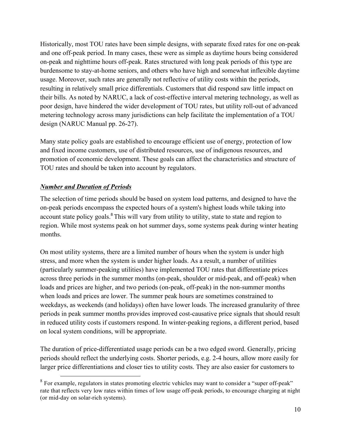Historically, most TOU rates have been simple designs, with separate fixed rates for one on-peak and one off-peak period. In many cases, these were as simple as daytime hours being considered on-peak and nighttime hours off-peak. Rates structured with long peak periods of this type are burdensome to stay-at-home seniors, and others who have high and somewhat inflexible daytime usage. Moreover, such rates are generally not reflective of utility costs within the periods, resulting in relatively small price differentials. Customers that did respond saw little impact on their bills. As noted by NARUC, a lack of cost-effective interval metering technology, as well as poor design, have hindered the wider development of TOU rates, but utility roll-out of advanced metering technology across many jurisdictions can help facilitate the implementation of a TOU design (NARUC Manual pp. 26-27).

Many state policy goals are established to encourage efficient use of energy, protection of low and fixed income customers, use of distributed resources, use of indigenous resources, and promotion of economic development. These goals can affect the characteristics and structure of TOU rates and should be taken into account by regulators.

#### *Number and Duration of Periods*

The selection of time periods should be based on system load patterns, and designed to have the on-peak periods encompass the expected hours of a system's highest loads while taking into account state policy goals.<sup>8</sup> This will vary from utility to utility, state to state and region to region. While most systems peak on hot summer days, some systems peak during winter heating months.

On most utility systems, there are a limited number of hours when the system is under high stress, and more when the system is under higher loads. As a result, a number of utilities (particularly summer-peaking utilities) have implemented TOU rates that differentiate prices across three periods in the summer months (on-peak, shoulder or mid-peak, and off-peak) when loads and prices are higher, and two periods (on-peak, off-peak) in the non-summer months when loads and prices are lower. The summer peak hours are sometimes constrained to weekdays, as weekends (and holidays) often have lower loads. The increased granularity of three periods in peak summer months provides improved cost-causative price signals that should result in reduced utility costs if customers respond. In winter-peaking regions, a different period, based on local system conditions, will be appropriate.

The duration of price-differentiated usage periods can be a two edged sword. Generally, pricing periods should reflect the underlying costs. Shorter periods, e.g. 2-4 hours, allow more easily for larger price differentiations and closer ties to utility costs. They are also easier for customers to

<sup>&</sup>lt;sup>8</sup> For example, regulators in states promoting electric vehicles may want to consider a "super off-peak" rate that reflects very low rates within times of low usage off-peak periods, to encourage charging at night (or mid-day on solar-rich systems).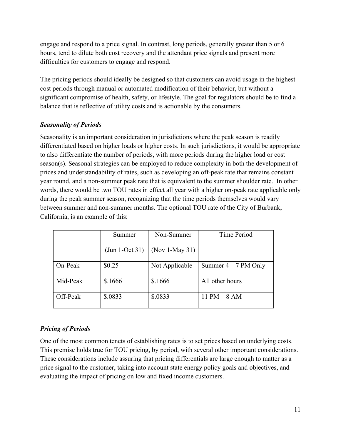engage and respond to a price signal. In contrast, long periods, generally greater than 5 or 6 hours, tend to dilute both cost recovery and the attendant price signals and present more difficulties for customers to engage and respond.

The pricing periods should ideally be designed so that customers can avoid usage in the highestcost periods through manual or automated modification of their behavior, but without a significant compromise of health, safety, or lifestyle. The goal for regulators should be to find a balance that is reflective of utility costs and is actionable by the consumers.

#### *Seasonality of Periods*

Seasonality is an important consideration in jurisdictions where the peak season is readily differentiated based on higher loads or higher costs. In such jurisdictions, it would be appropriate to also differentiate the number of periods, with more periods during the higher load or cost season(s). Seasonal strategies can be employed to reduce complexity in both the development of prices and understandability of rates, such as developing an off-peak rate that remains constant year round, and a non-summer peak rate that is equivalent to the summer shoulder rate. In other words, there would be two TOU rates in effect all year with a higher on-peak rate applicable only during the peak summer season, recognizing that the time periods themselves would vary between summer and non-summer months. The optional TOU rate of the City of Burbank, California, is an example of this:

|          | Summer           | Non-Summer     | Time Period            |
|----------|------------------|----------------|------------------------|
|          | $(Jun 1-Oct 31)$ | (Nov 1-May 31) |                        |
| On-Peak  | \$0.25           | Not Applicable | Summer $4 - 7$ PM Only |
| Mid-Peak | \$.1666          | \$.1666        | All other hours        |
| Off-Peak | \$.0833          | \$.0833        | 11 PM $-$ 8 AM         |

## *Pricing of Periods*

One of the most common tenets of establishing rates is to set prices based on underlying costs. This premise holds true for TOU pricing, by period, with several other important considerations. These considerations include assuring that pricing differentials are large enough to matter as a price signal to the customer, taking into account state energy policy goals and objectives, and evaluating the impact of pricing on low and fixed income customers.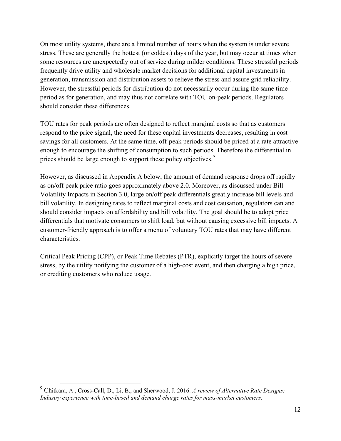On most utility systems, there are a limited number of hours when the system is under severe stress. These are generally the hottest (or coldest) days of the year, but may occur at times when some resources are unexpectedly out of service during milder conditions. These stressful periods frequently drive utility and wholesale market decisions for additional capital investments in generation, transmission and distribution assets to relieve the stress and assure grid reliability. However, the stressful periods for distribution do not necessarily occur during the same time period as for generation, and may thus not correlate with TOU on-peak periods. Regulators should consider these differences.

TOU rates for peak periods are often designed to reflect marginal costs so that as customers respond to the price signal, the need for these capital investments decreases, resulting in cost savings for all customers. At the same time, off-peak periods should be priced at a rate attractive enough to encourage the shifting of consumption to such periods. Therefore the differential in prices should be large enough to support these policy objectives.<sup>9</sup>

However, as discussed in Appendix A below, the amount of demand response drops off rapidly as on/off peak price ratio goes approximately above 2.0. Moreover, as discussed under Bill Volatility Impacts in Section 3.0, large on/off peak differentials greatly increase bill levels and bill volatility. In designing rates to reflect marginal costs and cost causation, regulators can and should consider impacts on affordability and bill volatility. The goal should be to adopt price differentials that motivate consumers to shift load, but without causing excessive bill impacts. A customer-friendly approach is to offer a menu of voluntary TOU rates that may have different characteristics.

Critical Peak Pricing (CPP), or Peak Time Rebates (PTR), explicitly target the hours of severe stress, by the utility notifying the customer of a high-cost event, and then charging a high price, or crediting customers who reduce usage.

 <sup>9</sup> Chitkara, A., Cross-Call, D., Li, B., and Sherwood, J. 2016. *A review of Alternative Rate Designs: Industry experience with time-based and demand charge rates for mass-market customers.*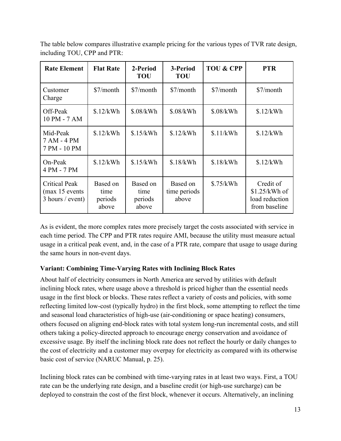| <b>Rate Element</b>                                           | <b>Flat Rate</b>                     | 2-Period<br><b>TOU</b>               | 3-Period<br><b>TOU</b>            | <b>TOU &amp; CPP</b> | <b>PTR</b>                                                     |
|---------------------------------------------------------------|--------------------------------------|--------------------------------------|-----------------------------------|----------------------|----------------------------------------------------------------|
| Customer<br>Charge                                            | \$7/month                            | \$7/month                            | \$7/month                         | \$7/month            | \$7/month                                                      |
| Off-Peak<br>10 PM - 7 AM                                      | \$.12/kWh                            | \$.08/kWh                            | \$.08/kWh                         | \$.08/kWh            | \$.12/kWh                                                      |
| Mid-Peak<br>7 AM - 4 PM<br>7 PM - 10 PM                       | \$.12/kWh                            | \$.15/kWh                            | \$.12/kWh                         | \$.11/kWh            | \$.12/kWh                                                      |
| On-Peak<br>4 PM - 7 PM                                        | \$.12/kWh                            | \$.15/kWh                            | \$.18/kWh                         | \$.18/kWh            | \$.12/kWh                                                      |
| <b>Critical Peak</b><br>(max 15 events)<br>$3$ hours / event) | Based on<br>time<br>periods<br>above | Based on<br>time<br>periods<br>above | Based on<br>time periods<br>above | \$.75/kWh            | Credit of<br>$$1.25/kWh$ of<br>load reduction<br>from baseline |

The table below compares illustrative example pricing for the various types of TVR rate design, including TOU, CPP and PTR:

As is evident, the more complex rates more precisely target the costs associated with service in each time period. The CPP and PTR rates require AMI, because the utility must measure actual usage in a critical peak event, and, in the case of a PTR rate, compare that usage to usage during the same hours in non-event days.

#### **Variant: Combining Time-Varying Rates with Inclining Block Rates**

About half of electricity consumers in North America are served by utilities with default inclining block rates, where usage above a threshold is priced higher than the essential needs usage in the first block or blocks. These rates reflect a variety of costs and policies, with some reflecting limited low-cost (typically hydro) in the first block, some attempting to reflect the time and seasonal load characteristics of high-use (air-conditioning or space heating) consumers, others focused on aligning end-block rates with total system long-run incremental costs, and still others taking a policy-directed approach to encourage energy conservation and avoidance of excessive usage. By itself the inclining block rate does not reflect the hourly or daily changes to the cost of electricity and a customer may overpay for electricity as compared with its otherwise basic cost of service (NARUC Manual, p. 25).

Inclining block rates can be combined with time-varying rates in at least two ways. First, a TOU rate can be the underlying rate design, and a baseline credit (or high-use surcharge) can be deployed to constrain the cost of the first block, whenever it occurs. Alternatively, an inclining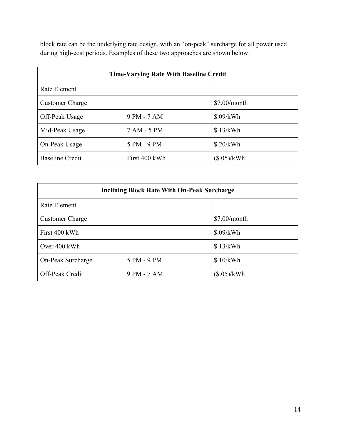block rate can be the underlying rate design, with an "on-peak" surcharge for all power used during high-cost periods. Examples of these two approaches are shown below:

| <b>Time-Varying Rate With Baseline Credit</b> |               |                |  |
|-----------------------------------------------|---------------|----------------|--|
| Rate Element                                  |               |                |  |
| <b>Customer Charge</b>                        |               | $$7.00/m$ onth |  |
| Off-Peak Usage                                | 9 PM - 7 AM   | \$.09/kWh      |  |
| Mid-Peak Usage                                | 7 AM - 5 PM   | \$.13/kWh      |  |
| On-Peak Usage                                 | 5 PM - 9 PM   | \$.20/kWh      |  |
| <b>Baseline Credit</b>                        | First 400 kWh | (\$.05)/kWh    |  |

| <b>Inclining Block Rate With On-Peak Surcharge</b> |             |              |  |
|----------------------------------------------------|-------------|--------------|--|
| Rate Element                                       |             |              |  |
| <b>Customer Charge</b>                             |             | \$7.00/month |  |
| First 400 kWh                                      |             | \$.09/kWh    |  |
| Over 400 kWh                                       |             | \$.13/kWh    |  |
| On-Peak Surcharge                                  | 5 PM - 9 PM | \$.10/kWh    |  |
| Off-Peak Credit                                    | 9 PM - 7 AM | (\$.05)/kWh  |  |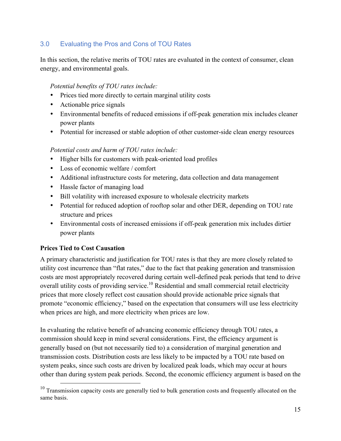## 3.0 Evaluating the Pros and Cons of TOU Rates

In this section, the relative merits of TOU rates are evaluated in the context of consumer, clean energy, and environmental goals.

#### *Potential benefits of TOU rates include:*

- Prices tied more directly to certain marginal utility costs
- Actionable price signals
- Environmental benefits of reduced emissions if off-peak generation mix includes cleaner power plants
- Potential for increased or stable adoption of other customer-side clean energy resources

#### *Potential costs and harm of TOU rates include:*

- Higher bills for customers with peak-oriented load profiles
- Loss of economic welfare / comfort
- Additional infrastructure costs for metering, data collection and data management
- Hassle factor of managing load
- Bill volatility with increased exposure to wholesale electricity markets
- Potential for reduced adoption of rooftop solar and other DER, depending on TOU rate structure and prices
- Environmental costs of increased emissions if off-peak generation mix includes dirtier power plants

#### **Prices Tied to Cost Causation**

A primary characteristic and justification for TOU rates is that they are more closely related to utility cost incurrence than "flat rates," due to the fact that peaking generation and transmission costs are most appropriately recovered during certain well-defined peak periods that tend to drive overall utility costs of providing service.<sup>10</sup> Residential and small commercial retail electricity prices that more closely reflect cost causation should provide actionable price signals that promote "economic efficiency," based on the expectation that consumers will use less electricity when prices are high, and more electricity when prices are low.

In evaluating the relative benefit of advancing economic efficiency through TOU rates, a commission should keep in mind several considerations. First, the efficiency argument is generally based on (but not necessarily tied to) a consideration of marginal generation and transmission costs. Distribution costs are less likely to be impacted by a TOU rate based on system peaks, since such costs are driven by localized peak loads, which may occur at hours other than during system peak periods. Second, the economic efficiency argument is based on the

 $10$  Transmission capacity costs are generally tied to bulk generation costs and frequently allocated on the same basis.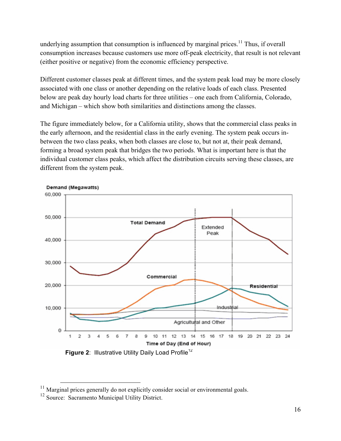underlying assumption that consumption is influenced by marginal prices.<sup>11</sup> Thus, if overall consumption increases because customers use more off-peak electricity, that result is not relevant (either positive or negative) from the economic efficiency perspective.

Different customer classes peak at different times, and the system peak load may be more closely associated with one class or another depending on the relative loads of each class. Presented below are peak day hourly load charts for three utilities – one each from California, Colorado, and Michigan – which show both similarities and distinctions among the classes.

The figure immediately below, for a California utility, shows that the commercial class peaks in the early afternoon, and the residential class in the early evening. The system peak occurs inbetween the two class peaks, when both classes are close to, but not at, their peak demand, forming a broad system peak that bridges the two periods. What is important here is that the individual customer class peaks, which affect the distribution circuits serving these classes, are different from the system peak.



**Figure 2: Illustrative Utility Daily Load Profile<sup>12</sup>** 

 $11$  Marginal prices generally do not explicitly consider social or environmental goals.

<sup>&</sup>lt;sup>12</sup> Source: Sacramento Municipal Utility District.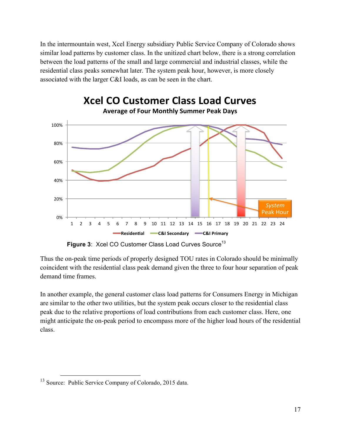In the intermountain west, Xcel Energy subsidiary Public Service Company of Colorado shows similar load patterns by customer class. In the unitized chart below, there is a strong correlation between the load patterns of the small and large commercial and industrial classes, while the residential class peaks somewhat later. The system peak hour, however, is more closely associated with the larger C&I loads, as can be seen in the chart.



**Figure 3: Xcel CO Customer Class Load Curves Source<sup>13</sup>** 

Thus the on-peak time periods of properly designed TOU rates in Colorado should be minimally coincident with the residential class peak demand given the three to four hour separation of peak demand time frames.

In another example, the general customer class load patterns for Consumers Energy in Michigan are similar to the other two utilities, but the system peak occurs closer to the residential class peak due to the relative proportions of load contributions from each customer class. Here, one might anticipate the on-peak period to encompass more of the higher load hours of the residential class.

 <sup>13</sup> Source: Public Service Company of Colorado, 2015 data.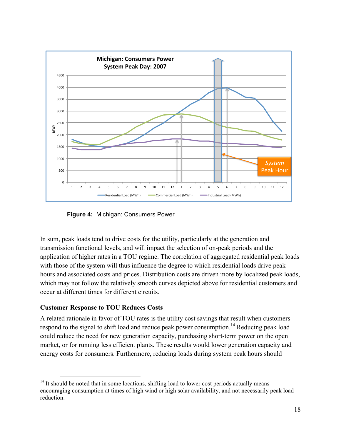

 **Figure 4:** Michigan: Consumers Power

In sum, peak loads tend to drive costs for the utility, particularly at the generation and transmission functional levels, and will impact the selection of on-peak periods and the application of higher rates in a TOU regime. The correlation of aggregated residential peak loads with those of the system will thus influence the degree to which residential loads drive peak hours and associated costs and prices. Distribution costs are driven more by localized peak loads, which may not follow the relatively smooth curves depicted above for residential customers and occur at different times for different circuits.

#### **Customer Response to TOU Reduces Costs**

A related rationale in favor of TOU rates is the utility cost savings that result when customers respond to the signal to shift load and reduce peak power consumption.<sup>14</sup> Reducing peak load could reduce the need for new generation capacity, purchasing short-term power on the open market, or for running less efficient plants. These results would lower generation capacity and energy costs for consumers. Furthermore, reducing loads during system peak hours should

 $14$  It should be noted that in some locations, shifting load to lower cost periods actually means encouraging consumption at times of high wind or high solar availability, and not necessarily peak load reduction.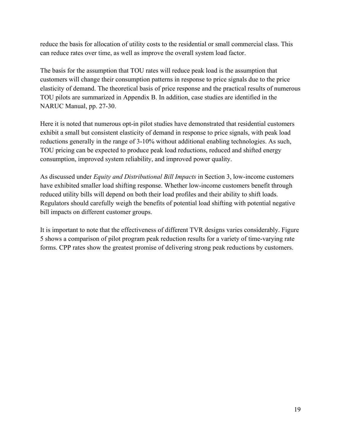reduce the basis for allocation of utility costs to the residential or small commercial class. This can reduce rates over time, as well as improve the overall system load factor.

The basis for the assumption that TOU rates will reduce peak load is the assumption that customers will change their consumption patterns in response to price signals due to the price elasticity of demand. The theoretical basis of price response and the practical results of numerous TOU pilots are summarized in Appendix B. In addition, case studies are identified in the NARUC Manual, pp. 27-30.

Here it is noted that numerous opt-in pilot studies have demonstrated that residential customers exhibit a small but consistent elasticity of demand in response to price signals, with peak load reductions generally in the range of 3-10% without additional enabling technologies. As such, TOU pricing can be expected to produce peak load reductions, reduced and shifted energy consumption, improved system reliability, and improved power quality.

As discussed under *Equity and Distributional Bill Impacts* in Section 3, low-income customers have exhibited smaller load shifting response. Whether low-income customers benefit through reduced utility bills will depend on both their load profiles and their ability to shift loads. Regulators should carefully weigh the benefits of potential load shifting with potential negative bill impacts on different customer groups.

It is important to note that the effectiveness of different TVR designs varies considerably. Figure 5 shows a comparison of pilot program peak reduction results for a variety of time-varying rate forms. CPP rates show the greatest promise of delivering strong peak reductions by customers.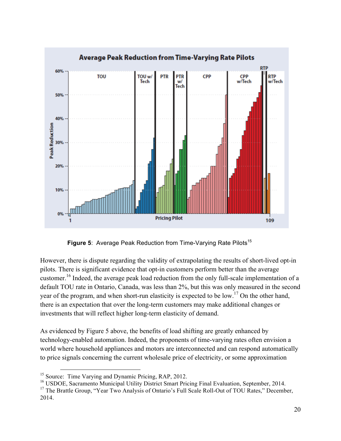

**Figure 5:** Average Peak Reduction from Time-Varying Rate Pilots<sup>15</sup>

However, there is dispute regarding the validity of extrapolating the results of short-lived opt-in pilots. There is significant evidence that opt-in customers perform better than the average customer.<sup>16</sup> Indeed, the average peak load reduction from the only full-scale implementation of a default TOU rate in Ontario, Canada, was less than 2%, but this was only measured in the second year of the program, and when short-run elasticity is expected to be low.<sup>17</sup> On the other hand, there is an expectation that over the long-term customers may make additional changes or investments that will reflect higher long-term elasticity of demand.

As evidenced by Figure 5 above, the benefits of load shifting are greatly enhanced by technology-enabled automation. Indeed, the proponents of time-varying rates often envision a world where household appliances and motors are interconnected and can respond automatically to price signals concerning the current wholesale price of electricity, or some approximation

<sup>16</sup> USDOE, Sacramento Municipal Utility District Smart Pricing Final Evaluation, September, 2014.

<sup>17</sup> The Brattle Group, "Year Two Analysis of Ontario's Full Scale Roll-Out of TOU Rates," December, 2014.

<sup>&</sup>lt;sup>15</sup> Source: Time Varying and Dynamic Pricing, RAP, 2012.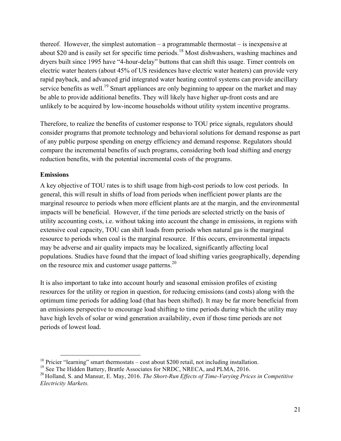thereof. However, the simplest automation – a programmable thermostat – is inexpensive at about \$20 and is easily set for specific time periods.<sup>18</sup> Most dishwashers, washing machines and dryers built since 1995 have "4-hour-delay" buttons that can shift this usage. Timer controls on electric water heaters (about 45% of US residences have electric water heaters) can provide very rapid payback, and advanced grid integrated water heating control systems can provide ancillary service benefits as well.<sup>19</sup> Smart appliances are only beginning to appear on the market and may be able to provide additional benefits. They will likely have higher up-front costs and are unlikely to be acquired by low-income households without utility system incentive programs.

Therefore, to realize the benefits of customer response to TOU price signals, regulators should consider programs that promote technology and behavioral solutions for demand response as part of any public purpose spending on energy efficiency and demand response. Regulators should compare the incremental benefits of such programs, considering both load shifting and energy reduction benefits, with the potential incremental costs of the programs.

## **Emissions**

A key objective of TOU rates is to shift usage from high-cost periods to low cost periods. In general, this will result in shifts of load from periods when inefficient power plants are the marginal resource to periods when more efficient plants are at the margin, and the environmental impacts will be beneficial. However, if the time periods are selected strictly on the basis of utility accounting costs, i.e. without taking into account the change in emissions, in regions with extensive coal capacity, TOU can shift loads from periods when natural gas is the marginal resource to periods when coal is the marginal resource. If this occurs, environmental impacts may be adverse and air quality impacts may be localized, significantly affecting local populations. Studies have found that the impact of load shifting varies geographically, depending on the resource mix and customer usage patterns.<sup>20</sup>

It is also important to take into account hourly and seasonal emission profiles of existing resources for the utility or region in question, for reducing emissions (and costs) along with the optimum time periods for adding load (that has been shifted). It may be far more beneficial from an emissions perspective to encourage load shifting to time periods during which the utility may have high levels of solar or wind generation availability, even if those time periods are not periods of lowest load.

<sup>&</sup>lt;sup>18</sup> Pricier "learning" smart thermostats – cost about \$200 retail, not including installation.

<sup>&</sup>lt;sup>19</sup> See The Hidden Battery, Brattle Associates for NRDC, NRECA, and PLMA, 2016.

<sup>20</sup> Holland, S. and Mansur, E. May, 2016. *The Short-Run Effects of Time-Varying Prices in Competitive Electricity Markets.*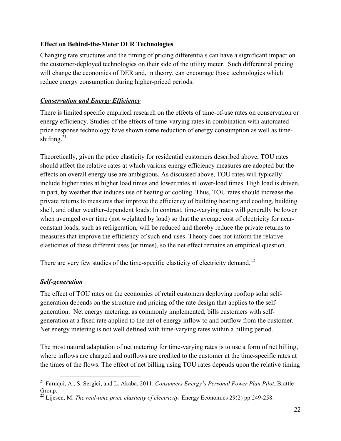#### **Effect on Behind-the-Meter DER Technologies**

Changing rate structures and the timing of pricing differentials can have a significant impact on the customer-deployed technologies on their side of the utility meter. Such differential pricing will change the economics of DER and, in theory, can encourage those technologies which reduce energy consumption during higher-priced periods.

#### *Conservation and Energy Efficiency*

There is limited specific empirical research on the effects of time-of-use rates on conservation or energy efficiency. Studies of the effects of time-varying rates in combination with automated price response technology have shown some reduction of energy consumption as well as timeshifting. $21$ 

Theoretically, given the price elasticity for residential customers described above, TOU rates should affect the relative rates at which various energy efficiency measures are adopted but the effects on overall energy use are ambiguous. As discussed above, TOU rates will typically include higher rates at higher load times and lower rates at lower-load times. High load is driven, in part, by weather that induces use of heating or cooling. Thus, TOU rates should increase the private returns to measures that improve the efficiency of building heating and cooling, building shell, and other weather-dependent loads. In contrast, time-varying rates will generally be lower when averaged over time (not weighted by load) so that the average cost of electricity for nearconstant loads, such as refrigeration, will be reduced and thereby reduce the private returns to measures that improve the efficiency of such end-uses. Theory does not inform the relative elasticities of these different uses (or times), so the net effect remains an empirical question.

There are very few studies of the time-specific elasticity of electricity demand.<sup>22</sup>

#### *Self-generation*

The effect of TOU rates on the economics of retail customers deploying rooftop solar selfgeneration depends on the structure and pricing of the rate design that applies to the selfgeneration. Net energy metering, as commonly implemented, bills customers with selfgeneration at a fixed rate applied to the net of energy inflow to and outflow from the customer. Net energy metering is not well defined with time-varying rates within a billing period.

The most natural adaptation of net metering for time-varying rates is to use a form of net billing, where inflows are charged and outflows are credited to the customer at the time-specific rates at the times of the flows. The effect of net billing using TOU rates depends upon the relative timing

 <sup>21</sup> Faruqui, A., S. Sergici, and L. Akaba. 2011. *Consumers Energy's Personal Power Plan Pilot.* Brattle Group.

<sup>&</sup>lt;sup>22</sup> Lijesen, M. *The real-time price elasticity of electricity*. Energy Economics 29(2) pp.249-258.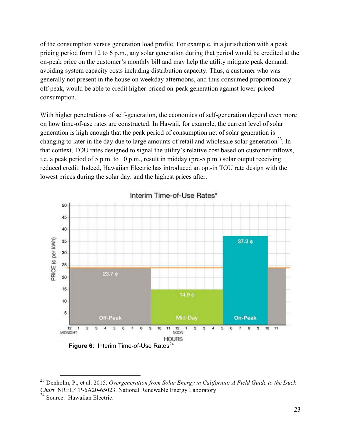of the consumption versus generation load profile. For example, in a jurisdiction with a peak pricing period from 12 to 6 p.m., any solar generation during that period would be credited at the on-peak price on the customer's monthly bill and may help the utility mitigate peak demand, avoiding system capacity costs including distribution capacity. Thus, a customer who was generally not present in the house on weekday afternoons, and thus consumed proportionately off-peak, would be able to credit higher-priced on-peak generation against lower-priced consumption.

With higher penetrations of self-generation, the economics of self-generation depend even more on how time-of-use rates are constructed. In Hawaii, for example, the current level of solar generation is high enough that the peak period of consumption net of solar generation is changing to later in the day due to large amounts of retail and wholesale solar generation<sup>23</sup>. In that context, TOU rates designed to signal the utility's relative cost based on customer inflows, i.e. a peak period of 5 p.m. to 10 p.m., result in midday (pre-5 p.m.) solar output receiving reduced credit. Indeed, Hawaiian Electric has introduced an opt-in TOU rate design with the lowest prices during the solar day, and the highest prices after.



Interim Time-of-Use Rates\*

 <sup>23</sup> Denholm, P., et al. 2015. *Overgeneration from Solar Energy in California: A Field Guide to the Duck Chart.* NREL/TP-6A20-65023. National Renewable Energy Laboratory.

 $24$  Source: Hawaiian Electric.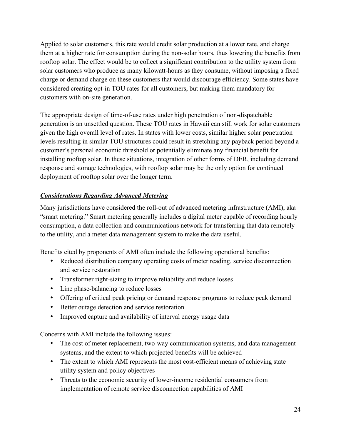Applied to solar customers, this rate would credit solar production at a lower rate, and charge them at a higher rate for consumption during the non-solar hours, thus lowering the benefits from rooftop solar. The effect would be to collect a significant contribution to the utility system from solar customers who produce as many kilowatt-hours as they consume, without imposing a fixed charge or demand charge on these customers that would discourage efficiency. Some states have considered creating opt-in TOU rates for all customers, but making them mandatory for customers with on-site generation.

The appropriate design of time-of-use rates under high penetration of non-dispatchable generation is an unsettled question. These TOU rates in Hawaii can still work for solar customers given the high overall level of rates. In states with lower costs, similar higher solar penetration levels resulting in similar TOU structures could result in stretching any payback period beyond a customer's personal economic threshold or potentially eliminate any financial benefit for installing rooftop solar. In these situations, integration of other forms of DER, including demand response and storage technologies, with rooftop solar may be the only option for continued deployment of rooftop solar over the longer term.

## *Considerations Regarding Advanced Metering*

Many jurisdictions have considered the roll-out of advanced metering infrastructure (AMI), aka "smart metering." Smart metering generally includes a digital meter capable of recording hourly consumption, a data collection and communications network for transferring that data remotely to the utility, and a meter data management system to make the data useful.

Benefits cited by proponents of AMI often include the following operational benefits:

- Reduced distribution company operating costs of meter reading, service disconnection and service restoration
- Transformer right-sizing to improve reliability and reduce losses
- Line phase-balancing to reduce losses
- Offering of critical peak pricing or demand response programs to reduce peak demand
- Better outage detection and service restoration
- Improved capture and availability of interval energy usage data

Concerns with AMI include the following issues:

- The cost of meter replacement, two-way communication systems, and data management systems, and the extent to which projected benefits will be achieved
- The extent to which AMI represents the most cost-efficient means of achieving state utility system and policy objectives
- Threats to the economic security of lower-income residential consumers from implementation of remote service disconnection capabilities of AMI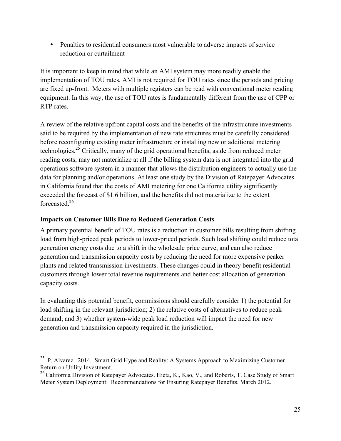• Penalties to residential consumers most vulnerable to adverse impacts of service reduction or curtailment

It is important to keep in mind that while an AMI system may more readily enable the implementation of TOU rates, AMI is not required for TOU rates since the periods and pricing are fixed up-front. Meters with multiple registers can be read with conventional meter reading equipment. In this way, the use of TOU rates is fundamentally different from the use of CPP or RTP rates.

A review of the relative upfront capital costs and the benefits of the infrastructure investments said to be required by the implementation of new rate structures must be carefully considered before reconfiguring existing meter infrastructure or installing new or additional metering technologies.25 Critically, many of the grid operational benefits, aside from reduced meter reading costs, may not materialize at all if the billing system data is not integrated into the grid operations software system in a manner that allows the distribution engineers to actually use the data for planning and/or operations. At least one study by the Division of Ratepayer Advocates in California found that the costs of AMI metering for one California utility significantly exceeded the forecast of \$1.6 billion, and the benefits did not materialize to the extent forecasted. 26

#### **Impacts on Customer Bills Due to Reduced Generation Costs**

A primary potential benefit of TOU rates is a reduction in customer bills resulting from shifting load from high-priced peak periods to lower-priced periods. Such load shifting could reduce total generation energy costs due to a shift in the wholesale price curve, and can also reduce generation and transmission capacity costs by reducing the need for more expensive peaker plants and related transmission investments. These changes could in theory benefit residential customers through lower total revenue requirements and better cost allocation of generation capacity costs.

In evaluating this potential benefit, commissions should carefully consider 1) the potential for load shifting in the relevant jurisdiction; 2) the relative costs of alternatives to reduce peak demand; and 3) whether system-wide peak load reduction will impact the need for new generation and transmission capacity required in the jurisdiction.

<sup>&</sup>lt;sup>25</sup> P. Alvarez. 2014. Smart Grid Hype and Reality: A Systems Approach to Maximizing Customer Return on Utility Investment.

 $^{26}$  California Division of Ratepayer Advocates. Hieta, K., Kao, V., and Roberts, T. Case Study of Smart Meter System Deployment: Recommendations for Ensuring Ratepayer Benefits. March 2012.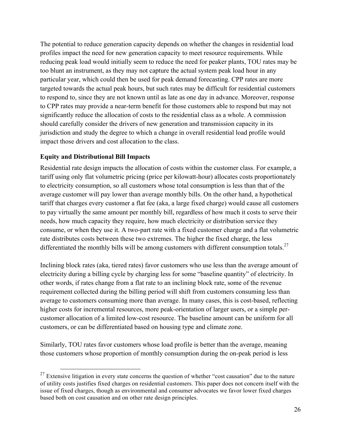The potential to reduce generation capacity depends on whether the changes in residential load profiles impact the need for new generation capacity to meet resource requirements. While reducing peak load would initially seem to reduce the need for peaker plants, TOU rates may be too blunt an instrument, as they may not capture the actual system peak load hour in any particular year, which could then be used for peak demand forecasting. CPP rates are more targeted towards the actual peak hours, but such rates may be difficult for residential customers to respond to, since they are not known until as late as one day in advance. Moreover, response to CPP rates may provide a near-term benefit for those customers able to respond but may not significantly reduce the allocation of costs to the residential class as a whole. A commission should carefully consider the drivers of new generation and transmission capacity in its jurisdiction and study the degree to which a change in overall residential load profile would impact those drivers and cost allocation to the class.

#### **Equity and Distributional Bill Impacts**

Residential rate design impacts the allocation of costs within the customer class. For example, a tariff using only flat volumetric pricing (price per kilowatt-hour) allocates costs proportionately to electricity consumption, so all customers whose total consumption is less than that of the average customer will pay lower than average monthly bills. On the other hand, a hypothetical tariff that charges every customer a flat fee (aka, a large fixed charge) would cause all customers to pay virtually the same amount per monthly bill, regardless of how much it costs to serve their needs, how much capacity they require, how much electricity or distribution service they consume, or when they use it. A two-part rate with a fixed customer charge and a flat volumetric rate distributes costs between these two extremes. The higher the fixed charge, the less differentiated the monthly bills will be among customers with different consumption totals.<sup>27</sup>

Inclining block rates (aka, tiered rates) favor customers who use less than the average amount of electricity during a billing cycle by charging less for some "baseline quantity" of electricity. In other words, if rates change from a flat rate to an inclining block rate, some of the revenue requirement collected during the billing period will shift from customers consuming less than average to customers consuming more than average. In many cases, this is cost-based, reflecting higher costs for incremental resources, more peak-orientation of larger users, or a simple percustomer allocation of a limited low-cost resource. The baseline amount can be uniform for all customers, or can be differentiated based on housing type and climate zone.

Similarly, TOU rates favor customers whose load profile is better than the average, meaning those customers whose proportion of monthly consumption during the on-peak period is less

 $27$  Extensive litigation in every state concerns the question of whether "cost causation" due to the nature of utility costs justifies fixed charges on residential customers. This paper does not concern itself with the issue of fixed charges, though as environmental and consumer advocates we favor lower fixed charges based both on cost causation and on other rate design principles.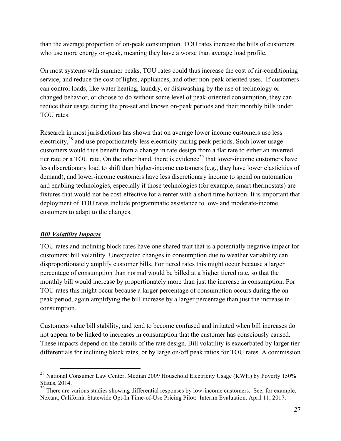than the average proportion of on-peak consumption. TOU rates increase the bills of customers who use more energy on-peak, meaning they have a worse than average load profile.

On most systems with summer peaks, TOU rates could thus increase the cost of air-conditioning service, and reduce the cost of lights, appliances, and other non-peak oriented uses. If customers can control loads, like water heating, laundry, or dishwashing by the use of technology or changed behavior, or choose to do without some level of peak-oriented consumption, they can reduce their usage during the pre-set and known on-peak periods and their monthly bills under TOU rates.

Research in most jurisdictions has shown that on average lower income customers use less electricity,<sup>28</sup> and use proportionately less electricity during peak periods. Such lower usage customers would thus benefit from a change in rate design from a flat rate to either an inverted tier rate or a TOU rate. On the other hand, there is evidence<sup>29</sup> that lower-income customers have less discretionary load to shift than higher-income customers (e.g., they have lower elasticities of demand), and lower-income customers have less discretionary income to spend on automation and enabling technologies, especially if those technologies (for example, smart thermostats) are fixtures that would not be cost-effective for a renter with a short time horizon. It is important that deployment of TOU rates include programmatic assistance to low- and moderate-income customers to adapt to the changes.

#### *Bill Volatility Impacts*

TOU rates and inclining block rates have one shared trait that is a potentially negative impact for customers: bill volatility. Unexpected changes in consumption due to weather variability can disproportionately amplify customer bills. For tiered rates this might occur because a larger percentage of consumption than normal would be billed at a higher tiered rate, so that the monthly bill would increase by proportionately more than just the increase in consumption. For TOU rates this might occur because a larger percentage of consumption occurs during the onpeak period, again amplifying the bill increase by a larger percentage than just the increase in consumption.

Customers value bill stability, and tend to become confused and irritated when bill increases do not appear to be linked to increases in consumption that the customer has consciously caused. These impacts depend on the details of the rate design. Bill volatility is exacerbated by larger tier differentials for inclining block rates, or by large on/off peak ratios for TOU rates. A commission

<sup>&</sup>lt;sup>28</sup> National Consumer Law Center, Median 2009 Household Electricity Usage (KWH) by Poverty 150% Status, 2014.

 $29$  There are various studies showing differential responses by low-income customers. See, for example, Nexant, California Statewide Opt-In Time-of-Use Pricing Pilot: Interim Evaluation. April 11, 2017.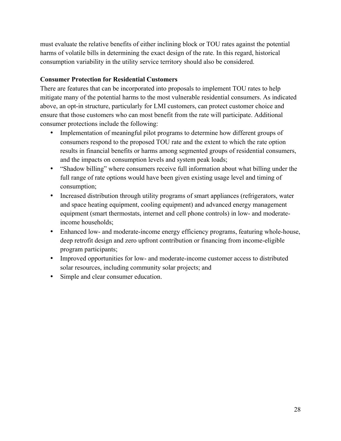must evaluate the relative benefits of either inclining block or TOU rates against the potential harms of volatile bills in determining the exact design of the rate. In this regard, historical consumption variability in the utility service territory should also be considered.

#### **Consumer Protection for Residential Customers**

There are features that can be incorporated into proposals to implement TOU rates to help mitigate many of the potential harms to the most vulnerable residential consumers. As indicated above, an opt-in structure, particularly for LMI customers, can protect customer choice and ensure that those customers who can most benefit from the rate will participate. Additional consumer protections include the following:

- Implementation of meaningful pilot programs to determine how different groups of consumers respond to the proposed TOU rate and the extent to which the rate option results in financial benefits or harms among segmented groups of residential consumers, and the impacts on consumption levels and system peak loads;
- "Shadow billing" where consumers receive full information about what billing under the full range of rate options would have been given existing usage level and timing of consumption;
- Increased distribution through utility programs of smart appliances (refrigerators, water and space heating equipment, cooling equipment) and advanced energy management equipment (smart thermostats, internet and cell phone controls) in low- and moderateincome households;
- Enhanced low- and moderate-income energy efficiency programs, featuring whole-house, deep retrofit design and zero upfront contribution or financing from income-eligible program participants;
- Improved opportunities for low- and moderate-income customer access to distributed solar resources, including community solar projects; and
- Simple and clear consumer education.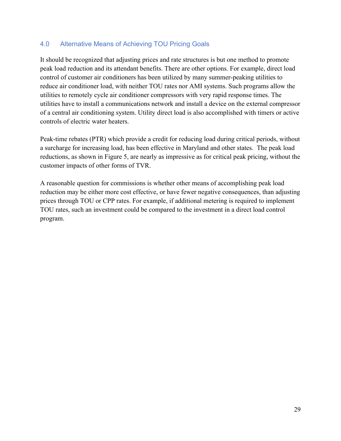## 4.0 Alternative Means of Achieving TOU Pricing Goals

It should be recognized that adjusting prices and rate structures is but one method to promote peak load reduction and its attendant benefits. There are other options. For example, direct load control of customer air conditioners has been utilized by many summer-peaking utilities to reduce air conditioner load, with neither TOU rates nor AMI systems. Such programs allow the utilities to remotely cycle air conditioner compressors with very rapid response times. The utilities have to install a communications network and install a device on the external compressor of a central air conditioning system. Utility direct load is also accomplished with timers or active controls of electric water heaters.

Peak-time rebates (PTR) which provide a credit for reducing load during critical periods, without a surcharge for increasing load, has been effective in Maryland and other states. The peak load reductions, as shown in Figure 5, are nearly as impressive as for critical peak pricing, without the customer impacts of other forms of TVR.

A reasonable question for commissions is whether other means of accomplishing peak load reduction may be either more cost effective, or have fewer negative consequences, than adjusting prices through TOU or CPP rates. For example, if additional metering is required to implement TOU rates, such an investment could be compared to the investment in a direct load control program.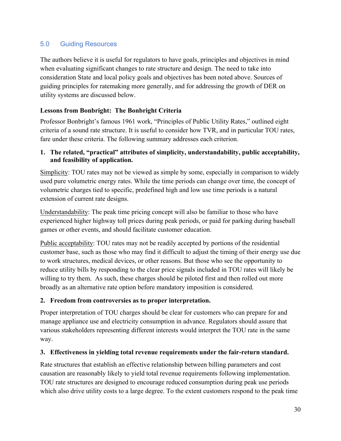## 5.0 Guiding Resources

The authors believe it is useful for regulators to have goals, principles and objectives in mind when evaluating significant changes to rate structure and design. The need to take into consideration State and local policy goals and objectives has been noted above. Sources of guiding principles for ratemaking more generally, and for addressing the growth of DER on utility systems are discussed below.

#### **Lessons from Bonbright: The Bonbright Criteria**

Professor Bonbright's famous 1961 work, "Principles of Public Utility Rates," outlined eight criteria of a sound rate structure. It is useful to consider how TVR, and in particular TOU rates, fare under these criteria. The following summary addresses each criterion.

#### **1. The related, "practical" attributes of simplicity, understandability, public acceptability, and feasibility of application.**

Simplicity: TOU rates may not be viewed as simple by some, especially in comparison to widely used pure volumetric energy rates. While the time periods can change over time, the concept of volumetric charges tied to specific, predefined high and low use time periods is a natural extension of current rate designs.

Understandability: The peak time pricing concept will also be familiar to those who have experienced higher highway toll prices during peak periods, or paid for parking during baseball games or other events, and should facilitate customer education.

Public acceptability: TOU rates may not be readily accepted by portions of the residential customer base, such as those who may find it difficult to adjust the timing of their energy use due to work structures, medical devices, or other reasons. But those who see the opportunity to reduce utility bills by responding to the clear price signals included in TOU rates will likely be willing to try them. As such, these charges should be piloted first and then rolled out more broadly as an alternative rate option before mandatory imposition is considered.

#### **2. Freedom from controversies as to proper interpretation.**

Proper interpretation of TOU charges should be clear for customers who can prepare for and manage appliance use and electricity consumption in advance. Regulators should assure that various stakeholders representing different interests would interpret the TOU rate in the same way.

#### **3. Effectiveness in yielding total revenue requirements under the fair-return standard.**

Rate structures that establish an effective relationship between billing parameters and cost causation are reasonably likely to yield total revenue requirements following implementation. TOU rate structures are designed to encourage reduced consumption during peak use periods which also drive utility costs to a large degree. To the extent customers respond to the peak time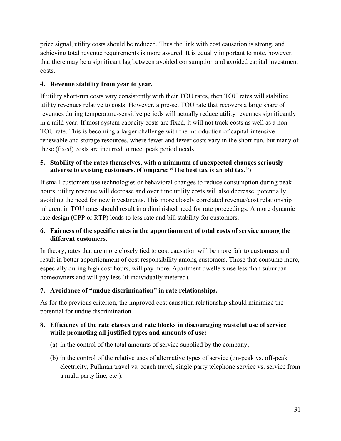price signal, utility costs should be reduced. Thus the link with cost causation is strong, and achieving total revenue requirements is more assured. It is equally important to note, however, that there may be a significant lag between avoided consumption and avoided capital investment costs.

#### **4. Revenue stability from year to year.**

If utility short-run costs vary consistently with their TOU rates, then TOU rates will stabilize utility revenues relative to costs. However, a pre-set TOU rate that recovers a large share of revenues during temperature-sensitive periods will actually reduce utility revenues significantly in a mild year. If most system capacity costs are fixed, it will not track costs as well as a non-TOU rate. This is becoming a larger challenge with the introduction of capital-intensive renewable and storage resources, where fewer and fewer costs vary in the short-run, but many of these (fixed) costs are incurred to meet peak period needs.

#### **5. Stability of the rates themselves, with a minimum of unexpected changes seriously adverse to existing customers. (Compare: "The best tax is an old tax.")**

If small customers use technologies or behavioral changes to reduce consumption during peak hours, utility revenue will decrease and over time utility costs will also decrease, potentially avoiding the need for new investments. This more closely correlated revenue/cost relationship inherent in TOU rates should result in a diminished need for rate proceedings. A more dynamic rate design (CPP or RTP) leads to less rate and bill stability for customers.

#### **6. Fairness of the specific rates in the apportionment of total costs of service among the different customers.**

In theory, rates that are more closely tied to cost causation will be more fair to customers and result in better apportionment of cost responsibility among customers. Those that consume more, especially during high cost hours, will pay more. Apartment dwellers use less than suburban homeowners and will pay less (if individually metered).

#### **7. Avoidance of "undue discrimination" in rate relationships.**

As for the previous criterion, the improved cost causation relationship should minimize the potential for undue discrimination.

#### **8. Efficiency of the rate classes and rate blocks in discouraging wasteful use of service while promoting all justified types and amounts of use:**

- (a) in the control of the total amounts of service supplied by the company;
- (b) in the control of the relative uses of alternative types of service (on-peak vs. off-peak electricity, Pullman travel vs. coach travel, single party telephone service vs. service from a multi party line, etc.).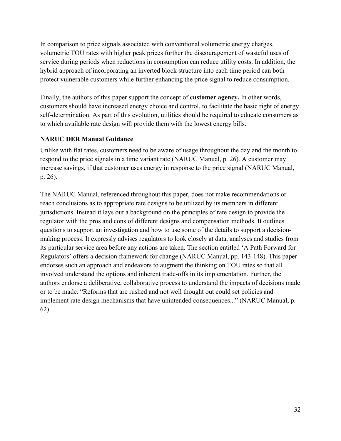In comparison to price signals associated with conventional volumetric energy charges, volumetric TOU rates with higher peak prices further the discouragement of wasteful uses of service during periods when reductions in consumption can reduce utility costs. In addition, the hybrid approach of incorporating an inverted block structure into each time period can both protect vulnerable customers while further enhancing the price signal to reduce consumption.

Finally, the authors of this paper support the concept of **customer agency.** In other words, customers should have increased energy choice and control, to facilitate the basic right of energy self-determination. As part of this evolution, utilities should be required to educate consumers as to which available rate design will provide them with the lowest energy bills.

#### **NARUC DER Manual Guidance**

Unlike with flat rates, customers need to be aware of usage throughout the day and the month to respond to the price signals in a time variant rate (NARUC Manual, p. 26). A customer may increase savings, if that customer uses energy in response to the price signal (NARUC Manual, p. 26).

The NARUC Manual, referenced throughout this paper, does not make recommendations or reach conclusions as to appropriate rate designs to be utilized by its members in different jurisdictions. Instead it lays out a background on the principles of rate design to provide the regulator with the pros and cons of different designs and compensation methods. It outlines questions to support an investigation and how to use some of the details to support a decisionmaking process. It expressly advises regulators to look closely at data, analyses and studies from its particular service area before any actions are taken. The section entitled 'A Path Forward for Regulators' offers a decision framework for change (NARUC Manual, pp. 143-148). This paper endorses such an approach and endeavors to augment the thinking on TOU rates so that all involved understand the options and inherent trade-offs in its implementation. Further, the authors endorse a deliberative, collaborative process to understand the impacts of decisions made or to be made. "Reforms that are rushed and not well thought out could set policies and implement rate design mechanisms that have unintended consequences..." (NARUC Manual, p. 62).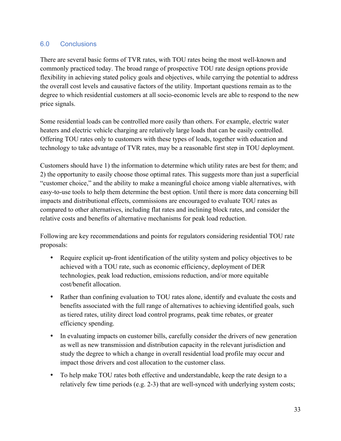## 6.0 Conclusions

There are several basic forms of TVR rates, with TOU rates being the most well-known and commonly practiced today. The broad range of prospective TOU rate design options provide flexibility in achieving stated policy goals and objectives, while carrying the potential to address the overall cost levels and causative factors of the utility. Important questions remain as to the degree to which residential customers at all socio-economic levels are able to respond to the new price signals.

Some residential loads can be controlled more easily than others. For example, electric water heaters and electric vehicle charging are relatively large loads that can be easily controlled. Offering TOU rates only to customers with these types of loads, together with education and technology to take advantage of TVR rates, may be a reasonable first step in TOU deployment.

Customers should have 1) the information to determine which utility rates are best for them; and 2) the opportunity to easily choose those optimal rates. This suggests more than just a superficial "customer choice," and the ability to make a meaningful choice among viable alternatives, with easy-to-use tools to help them determine the best option. Until there is more data concerning bill impacts and distributional effects, commissions are encouraged to evaluate TOU rates as compared to other alternatives, including flat rates and inclining block rates, and consider the relative costs and benefits of alternative mechanisms for peak load reduction.

Following are key recommendations and points for regulators considering residential TOU rate proposals:

- Require explicit up-front identification of the utility system and policy objectives to be achieved with a TOU rate, such as economic efficiency, deployment of DER technologies, peak load reduction, emissions reduction, and/or more equitable cost/benefit allocation.
- Rather than confining evaluation to TOU rates alone, identify and evaluate the costs and benefits associated with the full range of alternatives to achieving identified goals, such as tiered rates, utility direct load control programs, peak time rebates, or greater efficiency spending.
- In evaluating impacts on customer bills, carefully consider the drivers of new generation as well as new transmission and distribution capacity in the relevant jurisdiction and study the degree to which a change in overall residential load profile may occur and impact those drivers and cost allocation to the customer class.
- To help make TOU rates both effective and understandable, keep the rate design to a relatively few time periods (e.g. 2-3) that are well-synced with underlying system costs;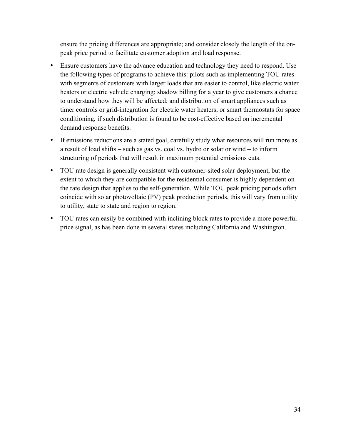ensure the pricing differences are appropriate; and consider closely the length of the onpeak price period to facilitate customer adoption and load response.

- Ensure customers have the advance education and technology they need to respond. Use the following types of programs to achieve this: pilots such as implementing TOU rates with segments of customers with larger loads that are easier to control, like electric water heaters or electric vehicle charging; shadow billing for a year to give customers a chance to understand how they will be affected; and distribution of smart appliances such as timer controls or grid-integration for electric water heaters, or smart thermostats for space conditioning, if such distribution is found to be cost-effective based on incremental demand response benefits.
- If emissions reductions are a stated goal, carefully study what resources will run more as a result of load shifts – such as gas vs. coal vs. hydro or solar or wind – to inform structuring of periods that will result in maximum potential emissions cuts.
- TOU rate design is generally consistent with customer-sited solar deployment, but the extent to which they are compatible for the residential consumer is highly dependent on the rate design that applies to the self-generation. While TOU peak pricing periods often coincide with solar photovoltaic (PV) peak production periods, this will vary from utility to utility, state to state and region to region.
- TOU rates can easily be combined with inclining block rates to provide a more powerful price signal, as has been done in several states including California and Washington.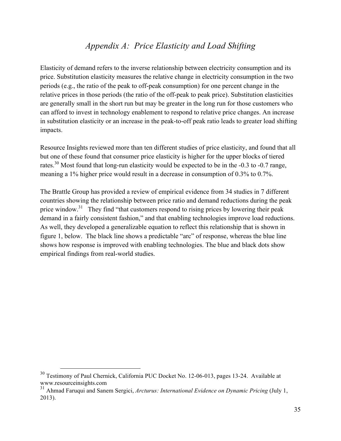# *Appendix A: Price Elasticity and Load Shifting*

Elasticity of demand refers to the inverse relationship between electricity consumption and its price. Substitution elasticity measures the relative change in electricity consumption in the two periods (e.g., the ratio of the peak to off-peak consumption) for one percent change in the relative prices in those periods (the ratio of the off-peak to peak price). Substitution elasticities are generally small in the short run but may be greater in the long run for those customers who can afford to invest in technology enablement to respond to relative price changes. An increase in substitution elasticity or an increase in the peak-to-off peak ratio leads to greater load shifting impacts.

Resource Insights reviewed more than ten different studies of price elasticity, and found that all but one of these found that consumer price elasticity is higher for the upper blocks of tiered rates.<sup>30</sup> Most found that long-run elasticity would be expected to be in the  $-0.3$  to  $-0.7$  range, meaning a 1% higher price would result in a decrease in consumption of 0.3% to 0.7%.

The Brattle Group has provided a review of empirical evidence from 34 studies in 7 different countries showing the relationship between price ratio and demand reductions during the peak price window.<sup>31</sup> They find "that customers respond to rising prices by lowering their peak demand in a fairly consistent fashion," and that enabling technologies improve load reductions. As well, they developed a generalizable equation to reflect this relationship that is shown in figure 1, below. The black line shows a predictable "arc" of response, whereas the blue line shows how response is improved with enabling technologies. The blue and black dots show empirical findings from real-world studies.

<sup>&</sup>lt;sup>30</sup> Testimony of Paul Chernick, California PUC Docket No. 12-06-013, pages 13-24. Available at www.resourceinsights.com

<sup>31</sup> Ahmad Faruqui and Sanem Sergici, *Arcturus: International Evidence on Dynamic Pricing* (July 1, 2013).